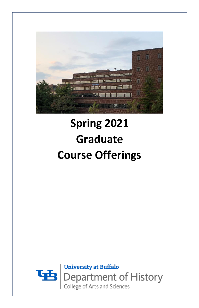

# **Spring 2021 Graduate Course Offerings**

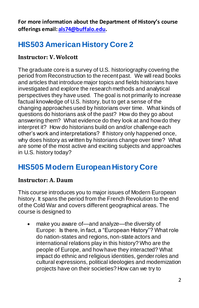**For more information about the Department of History's course offerings email: [als74@buffalo.edu.](mailto:als74@buffalo.edu)**

### **HIS503 American History Core 2**

#### **Instructor: V. Wolcott**

The graduate core is a survey of U.S. historiography covering the period from Reconstruction to the recent past. We will read books and articles that introduce major topics and fields historians have investigated and explore the research methods and analytical perspectives they have used. The goal is not primarily to increase factual knowledge of U.S. history, but to get a sense of the changing approaches used by historians over time. What kinds of questions do historians ask of the past? How do they go about answering them? What evidence do they look at and how do they interpret it? How do historians build on and/or challenge each other's work and interpretations? If history only happened once, why does history as written by historians change over time? What are some of the most active and exciting subjects and approaches in U.S. history today?

### **HIS505 Modern European History Core**

#### **Instructor: A. Daum**

This course introduces you to major issues of Modern European history. It spans the period from the French Revolution to the end of the Cold War and covers different geographical areas. The course is designed to

• make you aware of—and analyze—the diversity of Europe: Is there, in fact, a "European History"? What role do nation-states and regions, non-state actors and international relations play in this history? Who are the people of Europe, and how have they interacted? What impact do ethnic and religious identities, gender roles and cultural expressions, political ideologies and modernization projects have on their societies? How can we try to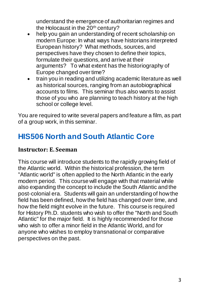understand the emergence of authoritarian regimes and the Holocaust in the 20<sup>th</sup> century?

- help you gain an understanding of recent scholarship on modern Europe: In what ways have historians interpreted European history? What methods, sources, and perspectives have they chosen to define their topics, formulate their questions, and arrive at their arguments? To what extent has the historiography of Europe changed over time?
- train you in reading and utilizing academic literature as well as historical sources, ranging from an autobiographical accounts to films. This seminar thus also wants to assist those of you who are planning to teach history at the high school or college level.

You are required to write several papers and feature a film, as part of a group work, in this seminar.

## **HIS506 North and South Atlantic Core**

#### **Instructor: E. Seeman**

This course will introduce students to the rapidly growing field of the Atlantic world. Within the historical profession, the term "Atlantic world" is often applied to the North Atlantic in the early modern period. This course will engage with that material while also expanding the concept to include the South Atlantic and the post-colonial era. Students will gain an understanding of how the field has been defined, how the field has changed over time, and how the field might evolve in the future. This course is required for History Ph.D. students who wish to offer the "North and South Atlantic" for the major field. It is highly recommended for those who wish to offer a minor field in the Atlantic World, and for anyone who wishes to employ transnational or comparative perspectives on the past.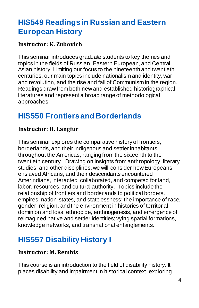# **HIS549 Readings in Russian and Eastern European History**

#### **Instructor: K. Zubovich**

This seminar introduces graduate students to key themes and topics in the fields of Russian, Eastern European, and Central Asian history. Limiting our focus to the nineteenth and twentieth centuries, our main topics include nationalism and identity, war and revolution, and the rise and fall of Communism in the region. Readings draw from both new and established historiographical literatures and represent a broad range of methodological approaches.

# **HIS550 Frontiers and Borderlands**

#### **Instructor: H. Langfur**

This seminar explores the comparative history of frontiers, borderlands, and their indigenous and settler inhabitants throughout the Americas, ranging from the sixteenth to the twentieth century. Drawing on insights from anthropology, literary studies, and other disciplines, we will consider how Europeans, enslaved Africans, and their descendants encountered Amerindians, interacted, collaborated, and competed for land, labor, resources, and cultural authority. Topics include the relationship of frontiers and borderlands to political borders, empires, nation-states, and statelessness; the importance of race, gender, religion, and the environment in histories of territorial dominion and loss; ethnocide, enthnogenesis, and emergence of reimagined native and settler identities; vying spatial formations, knowledge networks, and transnational entanglements.

# **HIS557 Disability History I**

#### **Instructor: M. Rembis**

This course is an introduction to the field of disability history. It places disability and impairment in historical context, exploring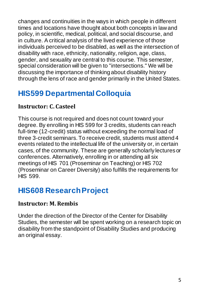changes and continuities in the ways in which people in different times and locations have thought about both concepts in law and policy, in scientific, medical, political, and social discourse, and in culture. A critical analysis of the lived experience of those individuals perceived to be disabled, as well as the intersection of disability with race, ethnicity, nationality, religion, age, class, gender, and sexuality are central to this course. This semester, special consideration will be given to "intersections." We will be discussing the importance of thinking about disability history through the lens of race and gender primarily in the United States.

# **HIS599 Departmental Colloquia**

#### **Instructor: C. Casteel**

This course is not required and does not count toward your degree. By enrolling in HIS 599 for 3 credits, students can reach full-time (12-credit) status without exceeding the normal load of three 3-credit seminars. To receive credit, students must attend 4 events related to the intellectual life of the university or, in certain cases, of the community. These are generally scholarly lectures or conferences. Alternatively, enrolling in or attending all six meetings of HIS 701 (Proseminar on Teaching) or HIS 702 (Proseminar on Career Diversity) also fulfills the requirements for HIS 599.

### **HIS608 Research Project**

#### **Instructor: M. Rembis**

Under the direction of the Director of the Center for Disability Studies, the semester will be spent working on a research topic on disability from the standpoint of Disability Studies and producing an original essay.